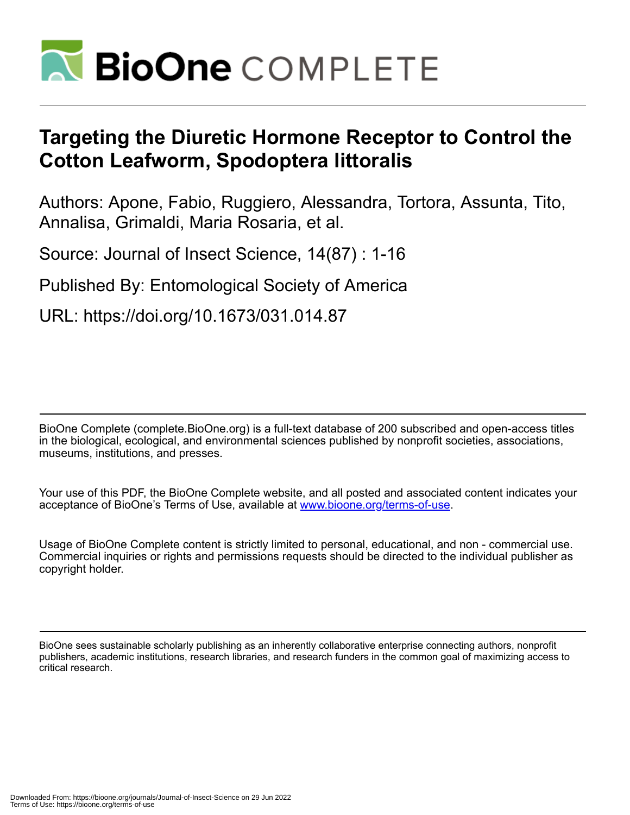

# **Targeting the Diuretic Hormone Receptor to Control the Cotton Leafworm, Spodoptera littoralis**

Authors: Apone, Fabio, Ruggiero, Alessandra, Tortora, Assunta, Tito, Annalisa, Grimaldi, Maria Rosaria, et al.

Source: Journal of Insect Science, 14(87) : 1-16

Published By: Entomological Society of America

URL: https://doi.org/10.1673/031.014.87

BioOne Complete (complete.BioOne.org) is a full-text database of 200 subscribed and open-access titles in the biological, ecological, and environmental sciences published by nonprofit societies, associations, museums, institutions, and presses.

Your use of this PDF, the BioOne Complete website, and all posted and associated content indicates your acceptance of BioOne's Terms of Use, available at www.bioone.org/terms-of-use.

Usage of BioOne Complete content is strictly limited to personal, educational, and non - commercial use. Commercial inquiries or rights and permissions requests should be directed to the individual publisher as copyright holder.

BioOne sees sustainable scholarly publishing as an inherently collaborative enterprise connecting authors, nonprofit publishers, academic institutions, research libraries, and research funders in the common goal of maximizing access to critical research.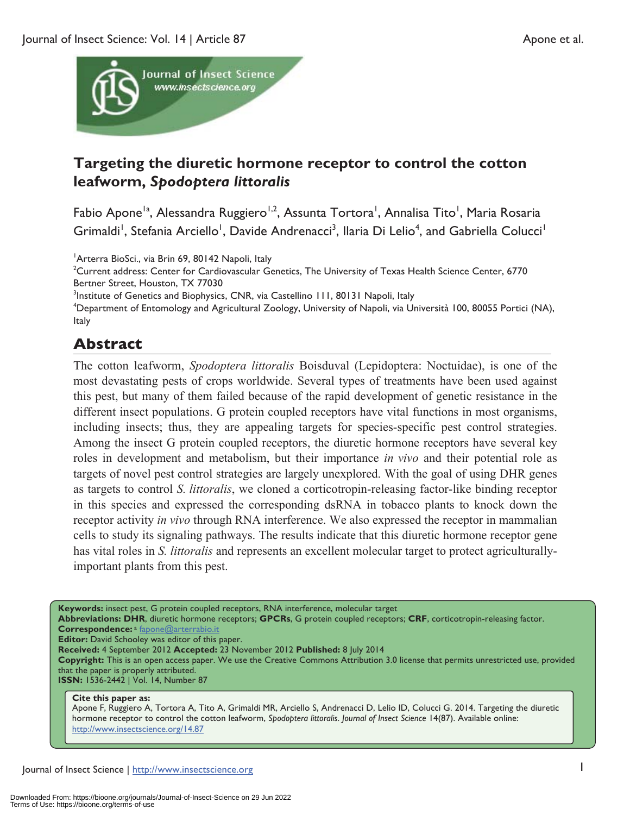

## **Targeting the diuretic hormone receptor to control the cotton leafworm,** *Spodoptera littoralis*

Fabio Apone<sup>la</sup>, Alessandra Ruggiero<sup>1,2</sup>, Assunta Tortora<sup>1</sup>, Annalisa Tito<sup>1</sup>, Maria Rosaria Grimaldi<sup>1</sup>, Stefania Arciello<sup>1</sup>, Davide Andrenacci<sup>3</sup>, Ilaria Di Lelio<sup>4</sup>, and Gabriella Colucci<sup>1</sup>

1 Arterra BioSci., via Brin 69, 80142 Napoli, Italy

 $^2$ Current address: Center for Cardiovascular Genetics, The University of Texas Health Science Center, 6770 Bertner Street, Houston, TX 77030

<sup>3</sup>Institute of Genetics and Biophysics, CNR, via Castellino 111, 80131 Napoli, Italy<br><sup>4</sup>Department of Entemplony and Agricultural Zoology, University of Napoli, via Un

Department of Entomology and Agricultural Zoology, University of Napoli, via Università 100, 80055 Portici (NA), Italy

## **Abstract**

The cotton leafworm, *Spodoptera littoralis* Boisduval (Lepidoptera: Noctuidae), is one of the most devastating pests of crops worldwide. Several types of treatments have been used against this pest, but many of them failed because of the rapid development of genetic resistance in the different insect populations. G protein coupled receptors have vital functions in most organisms, including insects; thus, they are appealing targets for species-specific pest control strategies. Among the insect G protein coupled receptors, the diuretic hormone receptors have several key roles in development and metabolism, but their importance *in vivo* and their potential role as targets of novel pest control strategies are largely unexplored. With the goal of using DHR genes as targets to control *S. littoralis*, we cloned a corticotropin-releasing factor-like binding receptor in this species and expressed the corresponding dsRNA in tobacco plants to knock down the receptor activity *in vivo* through RNA interference. We also expressed the receptor in mammalian cells to study its signaling pathways. The results indicate that this diuretic hormone receptor gene has vital roles in *S. littoralis* and represents an excellent molecular target to protect agriculturallyimportant plants from this pest.

**Keywords:** insect pest, G protein coupled receptors, RNA interference, molecular target **Abbreviations: DHR**, diuretic hormone receptors; **GPCRs**, G protein coupled receptors; **CRF**, corticotropin-releasing factor. **Correspondence:**<sup>a</sup> fapone@arterrabio.it **Editor:** David Schooley was editor of this paper. **Received:** 4 September 2012 **Accepted:** 23 November 2012 **Published:** 8 July 2014 **Copyright:** This is an open access paper. We use the Creative Commons Attribution 3.0 license that permits unrestricted use, provided that the paper is properly attributed. **ISSN:** 1536-2442 | Vol. 14, Number 87 **Cite this paper as:**  Apone F, Ruggiero A, Tortora A, Tito A, Grimaldi MR, Arciello S, Andrenacci D, Lelio ID, Colucci G. 2014. Targeting the diuretic

hormone receptor to control the cotton leafworm, *Spodoptera littoralis*. *Journal of Insect Science* 14(87). Available online: http://www.insectscience.org/14.87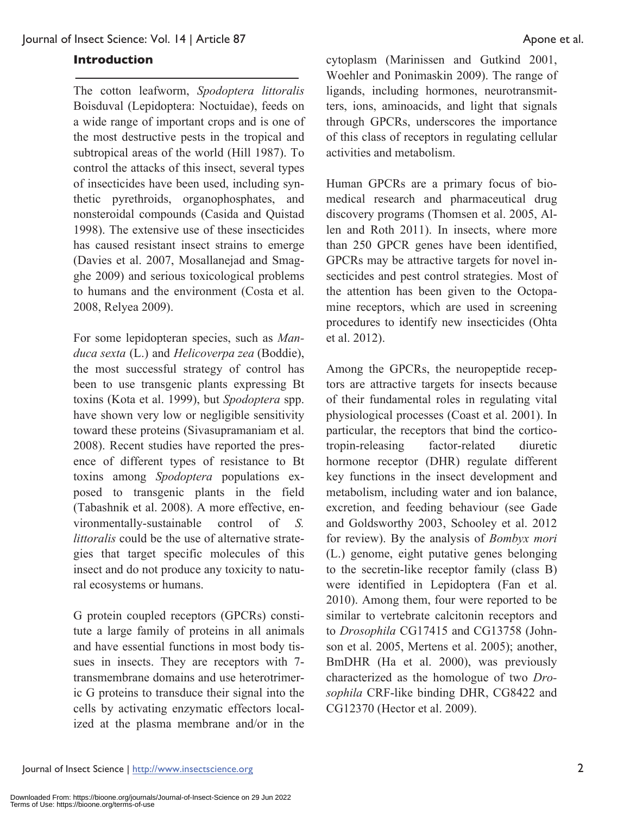#### **Introduction**

The cotton leafworm, *Spodoptera littoralis* Boisduval (Lepidoptera: Noctuidae), feeds on a wide range of important crops and is one of the most destructive pests in the tropical and subtropical areas of the world (Hill 1987). To control the attacks of this insect, several types of insecticides have been used, including synthetic pyrethroids, organophosphates, and nonsteroidal compounds (Casida and Quistad 1998). The extensive use of these insecticides has caused resistant insect strains to emerge (Davies et al. 2007, Mosallanejad and Smagghe 2009) and serious toxicological problems to humans and the environment (Costa et al. 2008, Relyea 2009).

For some lepidopteran species, such as *Manduca sexta* (L.) and *Helicoverpa zea* (Boddie), the most successful strategy of control has been to use transgenic plants expressing Bt toxins (Kota et al. 1999), but *Spodoptera* spp. have shown very low or negligible sensitivity toward these proteins (Sivasupramaniam et al. 2008). Recent studies have reported the presence of different types of resistance to Bt toxins among *Spodoptera* populations exposed to transgenic plants in the field (Tabashnik et al. 2008). A more effective, environmentally-sustainable control of *S. littoralis* could be the use of alternative strategies that target specific molecules of this insect and do not produce any toxicity to natural ecosystems or humans.

G protein coupled receptors (GPCRs) constitute a large family of proteins in all animals and have essential functions in most body tissues in insects. They are receptors with 7 transmembrane domains and use heterotrimeric G proteins to transduce their signal into the cells by activating enzymatic effectors localized at the plasma membrane and/or in the

cytoplasm (Marinissen and Gutkind 2001, Woehler and Ponimaskin 2009). The range of ligands, including hormones, neurotransmitters, ions, aminoacids, and light that signals through GPCRs, underscores the importance of this class of receptors in regulating cellular activities and metabolism.

Human GPCRs are a primary focus of biomedical research and pharmaceutical drug discovery programs (Thomsen et al. 2005, Allen and Roth 2011). In insects, where more than 250 GPCR genes have been identified, GPCRs may be attractive targets for novel insecticides and pest control strategies. Most of the attention has been given to the Octopamine receptors, which are used in screening procedures to identify new insecticides (Ohta et al. 2012).

Among the GPCRs, the neuropeptide receptors are attractive targets for insects because of their fundamental roles in regulating vital physiological processes (Coast et al. 2001). In particular, the receptors that bind the corticotropin-releasing factor-related diuretic hormone receptor (DHR) regulate different key functions in the insect development and metabolism, including water and ion balance, excretion, and feeding behaviour (see Gade and Goldsworthy 2003, Schooley et al. 2012 for review). By the analysis of *Bombyx mori* (L.) genome, eight putative genes belonging to the secretin-like receptor family (class B) were identified in Lepidoptera (Fan et al. 2010). Among them, four were reported to be similar to vertebrate calcitonin receptors and to *Drosophila* CG17415 and CG13758 (Johnson et al. 2005, Mertens et al. 2005); another, BmDHR (Ha et al. 2000), was previously characterized as the homologue of two *Drosophila* CRF-like binding DHR, CG8422 and CG12370 (Hector et al. 2009).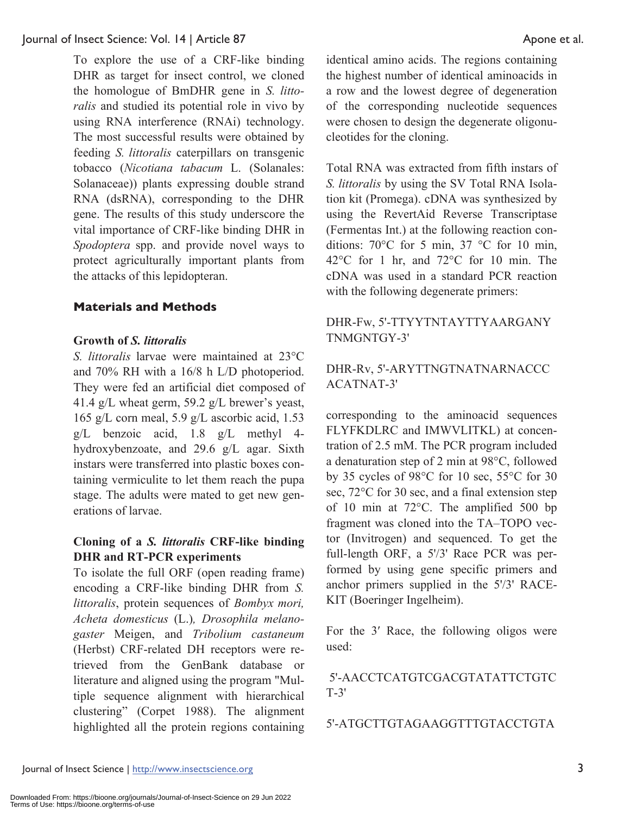To explore the use of a CRF-like binding DHR as target for insect control, we cloned the homologue of BmDHR gene in *S. littoralis* and studied its potential role in vivo by using RNA interference (RNAi) technology. The most successful results were obtained by feeding *S. littoralis* caterpillars on transgenic tobacco (*Nicotiana tabacum* L. (Solanales: Solanaceae)) plants expressing double strand RNA (dsRNA), corresponding to the DHR gene. The results of this study underscore the vital importance of CRF-like binding DHR in *Spodoptera* spp. and provide novel ways to protect agriculturally important plants from the attacks of this lepidopteran.

#### **Materials and Methods**

#### **Growth of** *S. littoralis*

*S. littoralis* larvae were maintained at 23°C and 70% RH with a 16/8 h L/D photoperiod. They were fed an artificial diet composed of 41.4 g/L wheat germ, 59.2 g/L brewer's yeast, 165 g/L corn meal, 5.9 g/L ascorbic acid, 1.53 g/L benzoic acid, 1.8 g/L methyl 4 hydroxybenzoate, and 29.6 g/L agar. Sixth instars were transferred into plastic boxes containing vermiculite to let them reach the pupa stage. The adults were mated to get new generations of larvae.

#### **Cloning of a** *S. littoralis* **CRF-like binding DHR and RT-PCR experiments**

To isolate the full ORF (open reading frame) encoding a CRF-like binding DHR from *S. littoralis*, protein sequences of *Bombyx mori, Acheta domesticus* (L.)*, Drosophila melanogaster* Meigen, and *Tribolium castaneum*  (Herbst) CRF-related DH receptors were retrieved from the GenBank database or literature and aligned using the program "Multiple sequence alignment with hierarchical clustering" (Corpet 1988). The alignment highlighted all the protein regions containing identical amino acids. The regions containing the highest number of identical aminoacids in a row and the lowest degree of degeneration of the corresponding nucleotide sequences were chosen to design the degenerate oligonucleotides for the cloning.

Total RNA was extracted from fifth instars of *S. littoralis* by using the SV Total RNA Isolation kit (Promega). cDNA was synthesized by using the RevertAid Reverse Transcriptase (Fermentas Int.) at the following reaction conditions:  $70^{\circ}$ C for 5 min,  $37^{\circ}$ C for 10 min, 42°C for 1 hr, and 72°C for 10 min. The cDNA was used in a standard PCR reaction with the following degenerate primers:

### DHR-Fw, 5'-TTYYTNTAYTTYAARGANY TNMGNTGY-3'

## DHR-Rv, 5'-ARYTTNGTNATNARNACCC ACATNAT-3'

corresponding to the aminoacid sequences FLYFKDLRC and IMWVLITKL) at concentration of 2.5 mM. The PCR program included a denaturation step of 2 min at 98°C, followed by 35 cycles of 98°C for 10 sec, 55°C for 30 sec, 72°C for 30 sec, and a final extension step of 10 min at 72°C. The amplified 500 bp fragment was cloned into the TA-TOPO vector (Invitrogen) and sequenced. To get the full-length ORF, a 5'/3' Race PCR was performed by using gene specific primers and anchor primers supplied in the 5'/3' RACE-KIT (Boeringer Ingelheim).

For the 3′ Race, the following oligos were used:

#### 5'-AACCTCATGTCGACGTATATTCTGTC T-3'

5'-ATGCTTGTAGAAGGTTTGTACCTGTA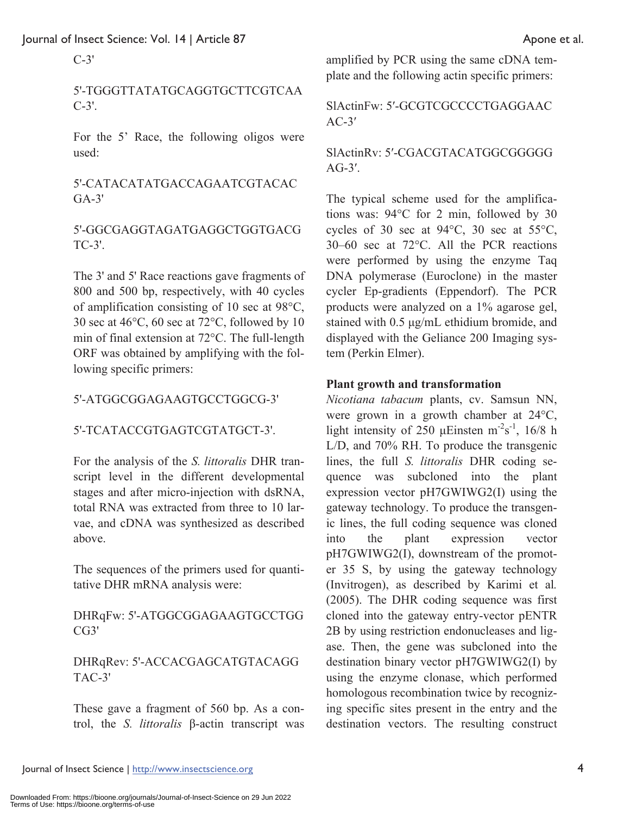C-3'

5'-TGGGTTATATGCAGGTGCTTCGTCAA C-3'.

For the 5' Race, the following oligos were used:

5'-CATACATATGACCAGAATCGTACAC GA-3'

5'-GGCGAGGTAGATGAGGCTGGTGACG TC-3'.

The 3' and 5' Race reactions gave fragments of 800 and 500 bp, respectively, with 40 cycles of amplification consisting of 10 sec at 98°C, 30 sec at 46°C, 60 sec at 72°C, followed by 10 min of final extension at 72°C. The full-length ORF was obtained by amplifying with the following specific primers:

#### 5'-ATGGCGGAGAAGTGCCTGGCG-3'

#### 5'-TCATACCGTGAGTCGTATGCT-3'.

For the analysis of the *S. littoralis* DHR transcript level in the different developmental stages and after micro-injection with dsRNA, total RNA was extracted from three to 10 larvae, and cDNA was synthesized as described above.

The sequences of the primers used for quantitative DHR mRNA analysis were:

DHRqFw: 5'-ATGGCGGAGAAGTGCCTGG CG3'

DHRqRev: 5'-ACCACGAGCATGTACAGG TAC-3'

These gave a fragment of 560 bp. As a control, the *S. littoralis* β-actin transcript was amplified by PCR using the same cDNA template and the following actin specific primers:

SlActinFw: 5′-GCGTCGCCCCTGAGGAAC AC-3′

SlActinRv: 5′-CGACGTACATGGCGGGGG AG-3′.

The typical scheme used for the amplifications was: 94°C for 2 min, followed by 30 cycles of 30 sec at 94°C, 30 sec at 55°C, 30‒60 sec at 72°C. All the PCR reactions were performed by using the enzyme Taq DNA polymerase (Euroclone) in the master cycler Ep-gradients (Eppendorf). The PCR products were analyzed on a 1% agarose gel, stained with 0.5 μg/mL ethidium bromide, and displayed with the Geliance 200 Imaging system (Perkin Elmer).

#### **Plant growth and transformation**

*Nicotiana tabacum* plants, cv. Samsun NN, were grown in a growth chamber at 24°C, light intensity of 250  $\mu$ Einsten m<sup>-2</sup>s<sup>-1</sup>, 16/8 h L/D, and 70% RH. To produce the transgenic lines, the full *S. littoralis* DHR coding sequence was subcloned into the plant expression vector pH7GWIWG2(I) using the gateway technology. To produce the transgenic lines, the full coding sequence was cloned into the plant expression vector pH7GWIWG2(I), downstream of the promoter 35 S, by using the gateway technology (Invitrogen), as described by Karimi et al*.* (2005). The DHR coding sequence was first cloned into the gateway entry-vector pENTR 2B by using restriction endonucleases and ligase. Then, the gene was subcloned into the destination binary vector pH7GWIWG2(I) by using the enzyme clonase, which performed homologous recombination twice by recognizing specific sites present in the entry and the destination vectors. The resulting construct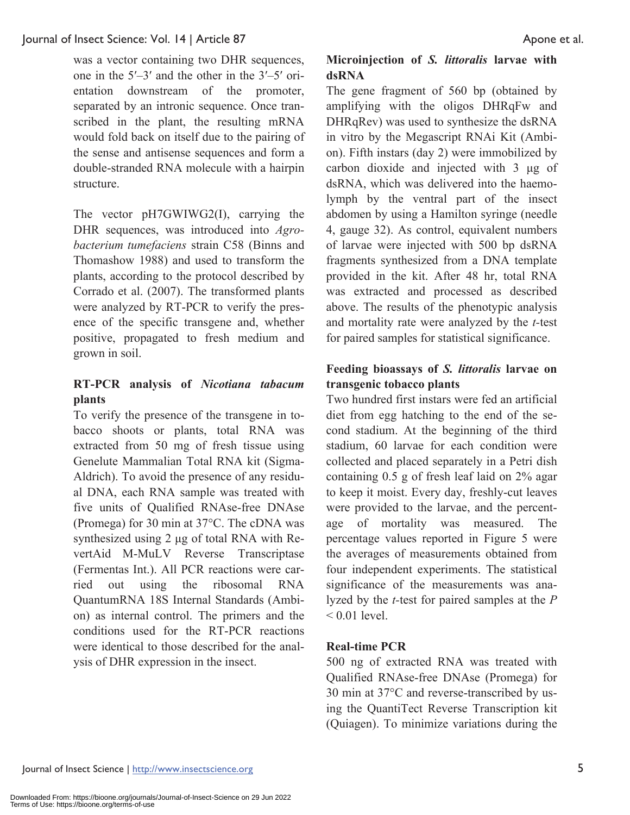was a vector containing two DHR sequences, one in the  $5'$ –3' and the other in the  $3'$ –5' orientation downstream of the promoter, separated by an intronic sequence. Once transcribed in the plant, the resulting mRNA would fold back on itself due to the pairing of the sense and antisense sequences and form a double-stranded RNA molecule with a hairpin structure.

The vector pH7GWIWG2(I), carrying the DHR sequences, was introduced into *Agrobacterium tumefaciens* strain C58 (Binns and Thomashow 1988) and used to transform the plants, according to the protocol described by Corrado et al. (2007). The transformed plants were analyzed by RT-PCR to verify the presence of the specific transgene and, whether positive, propagated to fresh medium and grown in soil.

#### **RT-PCR analysis of** *Nicotiana tabacum* **plants**

To verify the presence of the transgene in tobacco shoots or plants, total RNA was extracted from 50 mg of fresh tissue using Genelute Mammalian Total RNA kit (Sigma-Aldrich). To avoid the presence of any residual DNA, each RNA sample was treated with five units of Qualified RNAse-free DNAse (Promega) for 30 min at 37°C. The cDNA was synthesized using 2 μg of total RNA with RevertAid M-MuLV Reverse Transcriptase (Fermentas Int.). All PCR reactions were carried out using the ribosomal RNA QuantumRNA 18S Internal Standards (Ambion) as internal control. The primers and the conditions used for the RT-PCR reactions were identical to those described for the analysis of DHR expression in the insect.

## **Microinjection of** *S. littoralis* **larvae with dsRNA**

The gene fragment of 560 bp (obtained by amplifying with the oligos DHRqFw and DHRqRev) was used to synthesize the dsRNA in vitro by the Megascript RNAi Kit (Ambion). Fifth instars (day 2) were immobilized by carbon dioxide and injected with 3 μg of dsRNA, which was delivered into the haemolymph by the ventral part of the insect abdomen by using a Hamilton syringe (needle 4, gauge 32). As control, equivalent numbers of larvae were injected with 500 bp dsRNA fragments synthesized from a DNA template provided in the kit. After 48 hr, total RNA was extracted and processed as described above. The results of the phenotypic analysis and mortality rate were analyzed by the *t-*test for paired samples for statistical significance.

## **Feeding bioassays of** *S. littoralis* **larvae on transgenic tobacco plants**

Two hundred first instars were fed an artificial diet from egg hatching to the end of the second stadium. At the beginning of the third stadium, 60 larvae for each condition were collected and placed separately in a Petri dish containing 0.5 g of fresh leaf laid on 2% agar to keep it moist. Every day, freshly-cut leaves were provided to the larvae, and the percentage of mortality was measured. The percentage values reported in Figure 5 were the averages of measurements obtained from four independent experiments. The statistical significance of the measurements was analyzed by the *t-*test for paired samples at the *P*  $< 0.01$  level.

#### **Real-time PCR**

500 ng of extracted RNA was treated with Qualified RNAse-free DNAse (Promega) for 30 min at 37°C and reverse-transcribed by using the QuantiTect Reverse Transcription kit (Quiagen). To minimize variations during the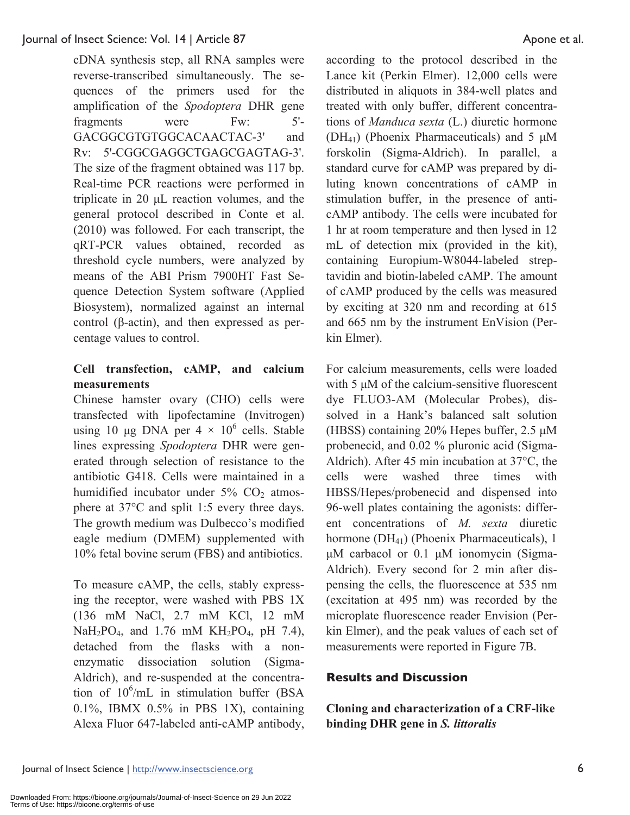cDNA synthesis step, all RNA samples were reverse-transcribed simultaneously. The sequences of the primers used for the amplification of the *Spodoptera* DHR gene fragments were Fw: 5'- GACGGCGTGTGGCACAACTAC-3' and Rv: 5'-CGGCGAGGCTGAGCGAGTAG-3'. The size of the fragment obtained was 117 bp. Real-time PCR reactions were performed in triplicate in 20 μL reaction volumes, and the general protocol described in Conte et al. (2010) was followed. For each transcript, the qRT-PCR values obtained, recorded as threshold cycle numbers, were analyzed by means of the ABI Prism 7900HT Fast Sequence Detection System software (Applied Biosystem), normalized against an internal control (β-actin), and then expressed as percentage values to control.

#### **Cell transfection, cAMP, and calcium measurements**

Chinese hamster ovary (CHO) cells were transfected with lipofectamine (Invitrogen) using 10 µg DNA per  $4 \times 10^6$  cells. Stable lines expressing *Spodoptera* DHR were generated through selection of resistance to the antibiotic G418. Cells were maintained in a humidified incubator under  $5\%$  CO<sub>2</sub> atmosphere at 37°C and split 1:5 every three days. The growth medium was Dulbecco's modified eagle medium (DMEM) supplemented with 10% fetal bovine serum (FBS) and antibiotics.

To measure cAMP, the cells, stably expressing the receptor, were washed with PBS 1X (136 mM NaCl, 2.7 mM KCl, 12 mM  $NaH<sub>2</sub>PO<sub>4</sub>$ , and 1.76 mM  $KH<sub>2</sub>PO<sub>4</sub>$ , pH 7.4), detached from the flasks with a nonenzymatic dissociation solution (Sigma-Aldrich), and re-suspended at the concentration of  $10^6$ /mL in stimulation buffer (BSA 0.1%, IBMX 0.5% in PBS 1X), containing Alexa Fluor 647-labeled anti-cAMP antibody, according to the protocol described in the Lance kit (Perkin Elmer). 12,000 cells were distributed in aliquots in 384-well plates and treated with only buffer, different concentrations of *Manduca sexta* (L.) diuretic hormone ( $DH_{41}$ ) (Phoenix Pharmaceuticals) and 5  $\mu$ M forskolin (Sigma-Aldrich). In parallel, a standard curve for cAMP was prepared by diluting known concentrations of cAMP in stimulation buffer, in the presence of anticAMP antibody. The cells were incubated for 1 hr at room temperature and then lysed in 12 mL of detection mix (provided in the kit), containing Europium-W8044-labeled streptavidin and biotin-labeled cAMP. The amount of cAMP produced by the cells was measured by exciting at 320 nm and recording at 615 and 665 nm by the instrument EnVision (Perkin Elmer).

For calcium measurements, cells were loaded with 5 μM of the calcium-sensitive fluorescent dye FLUO3-AM (Molecular Probes), dissolved in a Hank's balanced salt solution (HBSS) containing 20% Hepes buffer, 2.5 μM probenecid, and 0.02 % pluronic acid (Sigma-Aldrich). After 45 min incubation at 37°C, the cells were washed three times with HBSS/Hepes/probenecid and dispensed into 96-well plates containing the agonists: different concentrations of *M. sexta* diuretic hormone (DH<sub>41</sub>) (Phoenix Pharmaceuticals), 1 μM carbacol or 0.1 μM ionomycin (Sigma-Aldrich). Every second for 2 min after dispensing the cells, the fluorescence at 535 nm (excitation at 495 nm) was recorded by the microplate fluorescence reader Envision (Perkin Elmer), and the peak values of each set of measurements were reported in Figure 7B.

#### **Results and Discussion**

**Cloning and characterization of a CRF-like binding DHR gene in** *S. littoralis*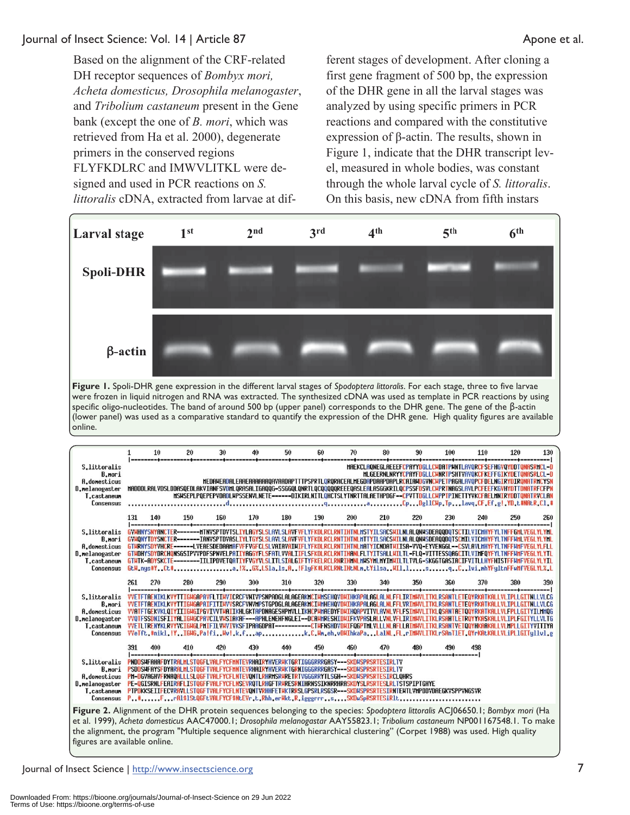Based on the alignment of the CRF-related DH receptor sequences of *Bombyx mori, Acheta domesticus, Drosophila melanogaster*, and *Tribolium castaneum* present in the Gene bank (except the one of *B. mori*, which was retrieved from Ha et al. 2000), degenerate primers in the conserved regions FLYFKDLRC and IMWVLITKL were designed and used in PCR reactions on *S. littoralis* cDNA, extracted from larvae at dif-

ferent stages of development. After cloning a first gene fragment of 500 bp, the expression of the DHR gene in all the larval stages was analyzed by using specific primers in PCR reactions and compared with the constitutive expression of β-actin. The results, shown in Figure 1, indicate that the DHR transcript level, measured in whole bodies, was constant through the whole larval cycle of *S. littoralis*. On this basis, new cDNA from fifth instars



**Figure 1.** Spoli-DHR gene expression in the different larval stages of *Spodoptera littoralis*. For each stage, three to five larvae were frozen in liquid nitrogen and RNA was extracted. The synthesized cDNA was used as template in PCR reactions by using specific oligo-nucleotides. The band of around 500 bp (upper panel) corresponds to the DHR gene. The gene of the β-actin (lower panel) was used as a comparative standard to quantify the expression of the DHR gene. High quality figures are available online.

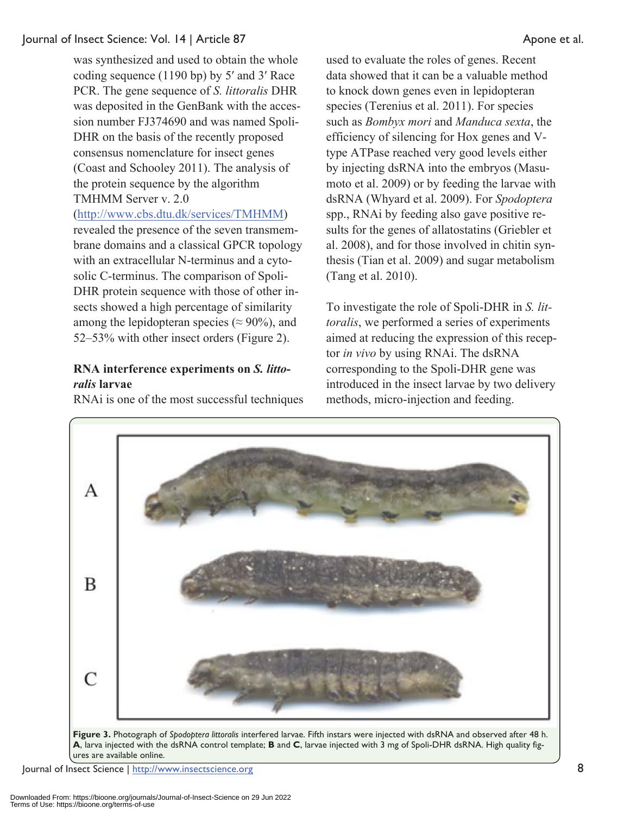was synthesized and used to obtain the whole coding sequence (1190 bp) by 5′ and 3′ Race PCR. The gene sequence of *S. littoralis* DHR was deposited in the GenBank with the accession number FJ374690 and was named Spoli-DHR on the basis of the recently proposed consensus nomenclature for insect genes (Coast and Schooley 2011). The analysis of the protein sequence by the algorithm TMHMM Server v. 2.0

#### (http://www.cbs.dtu.dk/services/TMHMM)

revealed the presence of the seven transmembrane domains and a classical GPCR topology with an extracellular N-terminus and a cytosolic C-terminus. The comparison of Spoli-DHR protein sequence with those of other insects showed a high percentage of similarity among the lepidopteran species ( $\approx$  90%), and 52–53% with other insect orders (Figure 2).

#### **RNA interference experiments on** *S. littoralis* **larvae**

RNAi is one of the most successful techniques

used to evaluate the roles of genes. Recent data showed that it can be a valuable method to knock down genes even in lepidopteran species (Terenius et al. 2011). For species such as *Bombyx mori* and *Manduca sexta*, the efficiency of silencing for Hox genes and Vtype ATPase reached very good levels either by injecting dsRNA into the embryos (Masumoto et al. 2009) or by feeding the larvae with dsRNA (Whyard et al. 2009). For *Spodoptera* spp., RNAi by feeding also gave positive results for the genes of allatostatins (Griebler et al. 2008), and for those involved in chitin synthesis (Tian et al. 2009) and sugar metabolism (Tang et al. 2010).

To investigate the role of Spoli-DHR in *S. littoralis*, we performed a series of experiments aimed at reducing the expression of this receptor *in vivo* by using RNAi. The dsRNA corresponding to the Spoli-DHR gene was introduced in the insect larvae by two delivery methods, micro-injection and feeding.



**Figure 3.** Photograph of *Spodoptera littoralis* interfered larvae. Fifth instars were injected with dsRNA and observed after 48 h. **A**, larva injected with the dsRNA control template; **B** and **C**, larvae injected with 3 mg of Spoli-DHR dsRNA. High quality figures are available online.

Journal of Insect Science | http://www.insectscience.org 8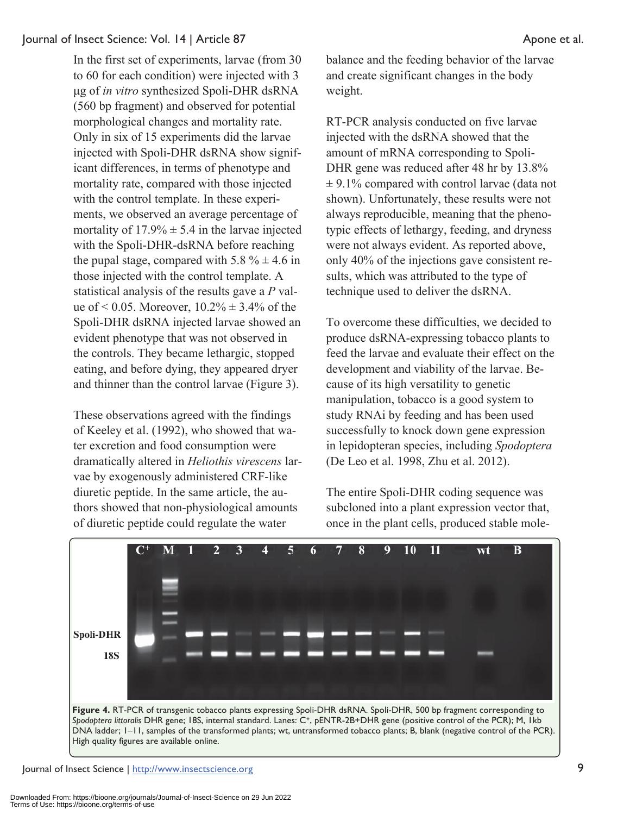In the first set of experiments, larvae (from 30 to 60 for each condition) were injected with 3 μg of *in vitro* synthesized Spoli-DHR dsRNA (560 bp fragment) and observed for potential morphological changes and mortality rate. Only in six of 15 experiments did the larvae injected with Spoli-DHR dsRNA show significant differences, in terms of phenotype and mortality rate, compared with those injected with the control template. In these experiments, we observed an average percentage of mortality of  $17.9\% \pm 5.4$  in the larvae injected with the Spoli-DHR-dsRNA before reaching the pupal stage, compared with 5.8  $\% \pm 4.6$  in those injected with the control template. A statistical analysis of the results gave a *P* value of < 0.05. Moreover,  $10.2\% \pm 3.4\%$  of the Spoli-DHR dsRNA injected larvae showed an evident phenotype that was not observed in the controls. They became lethargic, stopped eating, and before dying, they appeared dryer and thinner than the control larvae (Figure 3).

These observations agreed with the findings of Keeley et al. (1992), who showed that water excretion and food consumption were dramatically altered in *Heliothis virescens* larvae by exogenously administered CRF-like diuretic peptide. In the same article, the authors showed that non-physiological amounts of diuretic peptide could regulate the water

balance and the feeding behavior of the larvae and create significant changes in the body weight.

RT-PCR analysis conducted on five larvae injected with the dsRNA showed that the amount of mRNA corresponding to Spoli-DHR gene was reduced after 48 hr by 13.8%  $\pm$  9.1% compared with control larvae (data not shown). Unfortunately, these results were not always reproducible, meaning that the phenotypic effects of lethargy, feeding, and dryness were not always evident. As reported above, only 40% of the injections gave consistent results, which was attributed to the type of technique used to deliver the dsRNA.

To overcome these difficulties, we decided to produce dsRNA-expressing tobacco plants to feed the larvae and evaluate their effect on the development and viability of the larvae. Because of its high versatility to genetic manipulation, tobacco is a good system to study RNAi by feeding and has been used successfully to knock down gene expression in lepidopteran species, including *Spodoptera* (De Leo et al. 1998, Zhu et al. 2012).

The entire Spoli-DHR coding sequence was subcloned into a plant expression vector that, once in the plant cells, produced stable mole-

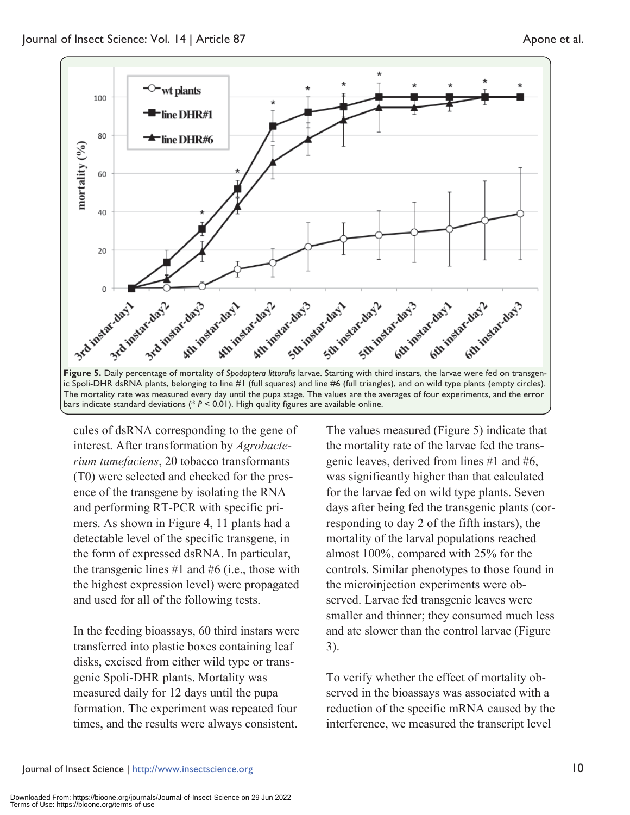

cules of dsRNA corresponding to the gene of interest. After transformation by *Agrobacterium tumefaciens*, 20 tobacco transformants (T0) were selected and checked for the presence of the transgene by isolating the RNA and performing RT-PCR with specific primers. As shown in Figure 4, 11 plants had a detectable level of the specific transgene, in the form of expressed dsRNA. In particular, the transgenic lines #1 and #6 (i.e., those with the highest expression level) were propagated and used for all of the following tests.

In the feeding bioassays, 60 third instars were transferred into plastic boxes containing leaf disks, excised from either wild type or transgenic Spoli-DHR plants. Mortality was measured daily for 12 days until the pupa formation. The experiment was repeated four times, and the results were always consistent.

The values measured (Figure 5) indicate that the mortality rate of the larvae fed the transgenic leaves, derived from lines #1 and #6, was significantly higher than that calculated for the larvae fed on wild type plants. Seven days after being fed the transgenic plants (corresponding to day 2 of the fifth instars), the mortality of the larval populations reached almost 100%, compared with 25% for the controls. Similar phenotypes to those found in the microinjection experiments were observed. Larvae fed transgenic leaves were smaller and thinner; they consumed much less and ate slower than the control larvae (Figure 3).

To verify whether the effect of mortality observed in the bioassays was associated with a reduction of the specific mRNA caused by the interference, we measured the transcript level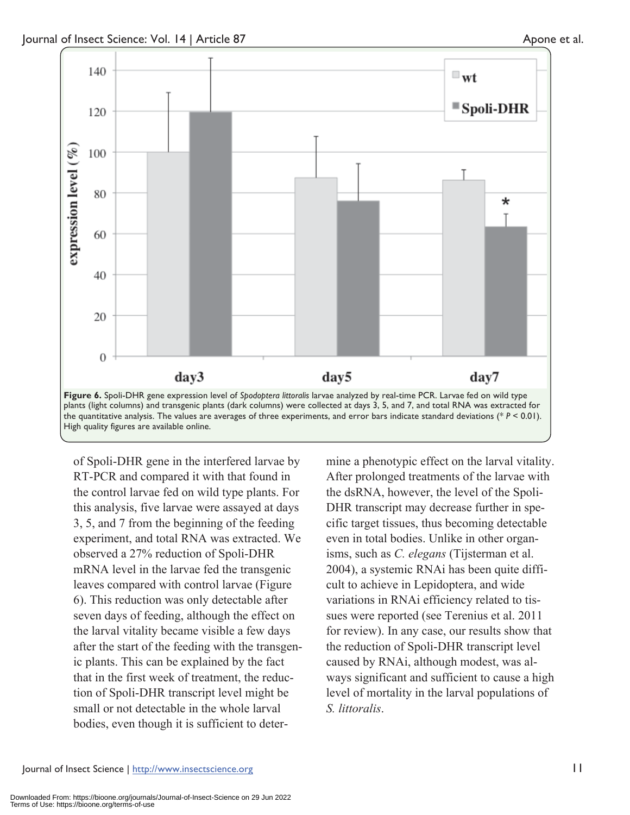

of Spoli-DHR gene in the interfered larvae by RT-PCR and compared it with that found in the control larvae fed on wild type plants. For this analysis, five larvae were assayed at days 3, 5, and 7 from the beginning of the feeding experiment, and total RNA was extracted. We observed a 27% reduction of Spoli-DHR mRNA level in the larvae fed the transgenic leaves compared with control larvae (Figure 6). This reduction was only detectable after seven days of feeding, although the effect on the larval vitality became visible a few days after the start of the feeding with the transgenic plants. This can be explained by the fact that in the first week of treatment, the reduction of Spoli-DHR transcript level might be small or not detectable in the whole larval bodies, even though it is sufficient to determine a phenotypic effect on the larval vitality. After prolonged treatments of the larvae with the dsRNA, however, the level of the Spoli-DHR transcript may decrease further in specific target tissues, thus becoming detectable even in total bodies. Unlike in other organisms, such as *C. elegans* (Tijsterman et al. 2004), a systemic RNAi has been quite difficult to achieve in Lepidoptera, and wide variations in RNAi efficiency related to tissues were reported (see Terenius et al. 2011 for review). In any case, our results show that the reduction of Spoli-DHR transcript level caused by RNAi, although modest, was always significant and sufficient to cause a high level of mortality in the larval populations of *S. littoralis*.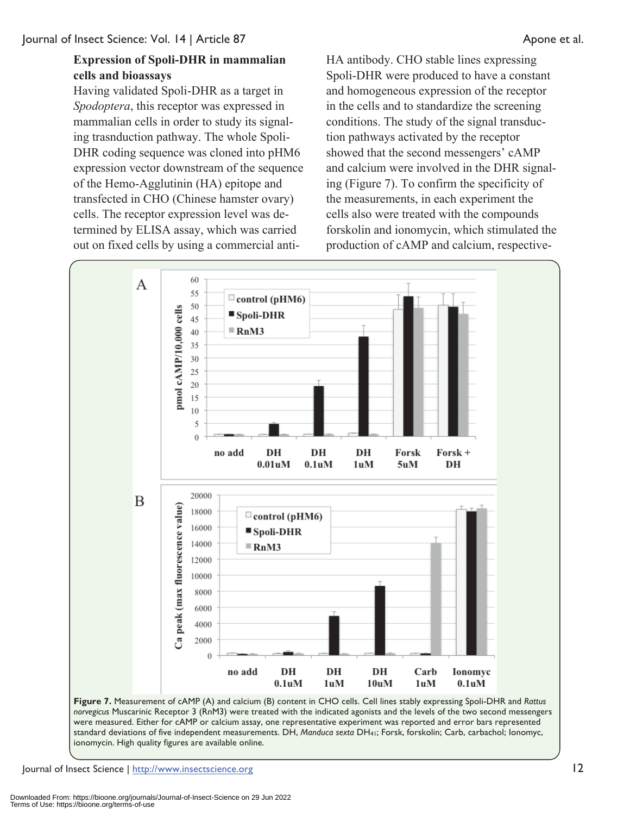#### **Expression of Spoli-DHR in mammalian cells and bioassays**

Having validated Spoli-DHR as a target in *Spodoptera*, this receptor was expressed in mammalian cells in order to study its signaling trasnduction pathway. The whole Spoli-DHR coding sequence was cloned into pHM6 expression vector downstream of the sequence of the Hemo-Agglutinin (HA) epitope and transfected in CHO (Chinese hamster ovary) cells. The receptor expression level was determined by ELISA assay, which was carried out on fixed cells by using a commercial anti-

HA antibody. CHO stable lines expressing Spoli-DHR were produced to have a constant and homogeneous expression of the receptor in the cells and to standardize the screening conditions. The study of the signal transduction pathways activated by the receptor showed that the second messengers' cAMP and calcium were involved in the DHR signaling (Figure 7). To confirm the specificity of the measurements, in each experiment the cells also were treated with the compounds forskolin and ionomycin, which stimulated the production of cAMP and calcium, respective-



were measured. Either for cAMP or calcium assay, one representative experiment was reported and error bars represented standard deviations of five independent measurements. DH, *Manduca sexta* DH41; Forsk, forskolin; Carb, carbachol; Ionomyc, ionomycin. High quality figures are available online.

Journal of Insect Science | http://www.insectscience.org 12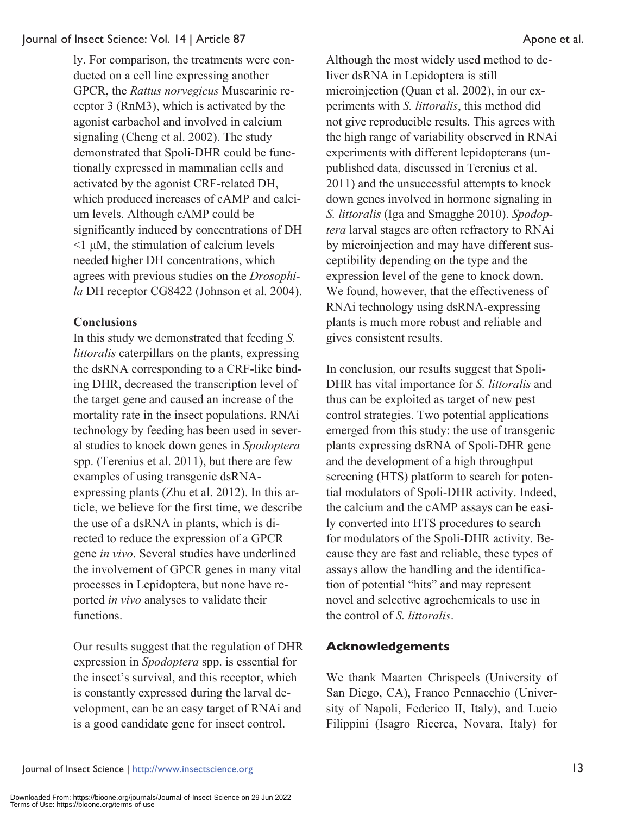ly. For comparison, the treatments were conducted on a cell line expressing another GPCR, the *Rattus norvegicus* Muscarinic receptor 3 (RnM3), which is activated by the agonist carbachol and involved in calcium signaling (Cheng et al. 2002). The study demonstrated that Spoli-DHR could be functionally expressed in mammalian cells and activated by the agonist CRF-related DH, which produced increases of cAMP and calcium levels. Although cAMP could be significantly induced by concentrations of DH  $\leq 1$  μM, the stimulation of calcium levels needed higher DH concentrations, which agrees with previous studies on the *Drosophila* DH receptor CG8422 (Johnson et al. 2004).

#### **Conclusions**

In this study we demonstrated that feeding *S. littoralis* caterpillars on the plants, expressing the dsRNA corresponding to a CRF-like binding DHR, decreased the transcription level of the target gene and caused an increase of the mortality rate in the insect populations. RNAi technology by feeding has been used in several studies to knock down genes in *Spodoptera* spp. (Terenius et al. 2011), but there are few examples of using transgenic dsRNAexpressing plants (Zhu et al. 2012). In this article, we believe for the first time, we describe the use of a dsRNA in plants, which is directed to reduce the expression of a GPCR gene *in vivo*. Several studies have underlined the involvement of GPCR genes in many vital processes in Lepidoptera, but none have reported *in vivo* analyses to validate their functions.

Our results suggest that the regulation of DHR expression in *Spodoptera* spp. is essential for the insect's survival, and this receptor, which is constantly expressed during the larval development, can be an easy target of RNAi and is a good candidate gene for insect control.

Although the most widely used method to deliver dsRNA in Lepidoptera is still microinjection (Quan et al. 2002), in our experiments with *S. littoralis*, this method did not give reproducible results. This agrees with the high range of variability observed in RNAi experiments with different lepidopterans (unpublished data, discussed in Terenius et al. 2011) and the unsuccessful attempts to knock down genes involved in hormone signaling in *S. littoralis* (Iga and Smagghe 2010). *Spodoptera* larval stages are often refractory to RNAi by microinjection and may have different susceptibility depending on the type and the expression level of the gene to knock down. We found, however, that the effectiveness of RNAi technology using dsRNA-expressing plants is much more robust and reliable and gives consistent results.

In conclusion, our results suggest that Spoli-DHR has vital importance for *S. littoralis* and thus can be exploited as target of new pest control strategies. Two potential applications emerged from this study: the use of transgenic plants expressing dsRNA of Spoli-DHR gene and the development of a high throughput screening (HTS) platform to search for potential modulators of Spoli-DHR activity. Indeed, the calcium and the cAMP assays can be easily converted into HTS procedures to search for modulators of the Spoli-DHR activity. Because they are fast and reliable, these types of assays allow the handling and the identification of potential "hits" and may represent novel and selective agrochemicals to use in the control of *S. littoralis*.

#### **Acknowledgements**

We thank Maarten Chrispeels (University of San Diego, CA), Franco Pennacchio (University of Napoli, Federico II, Italy), and Lucio Filippini (Isagro Ricerca, Novara, Italy) for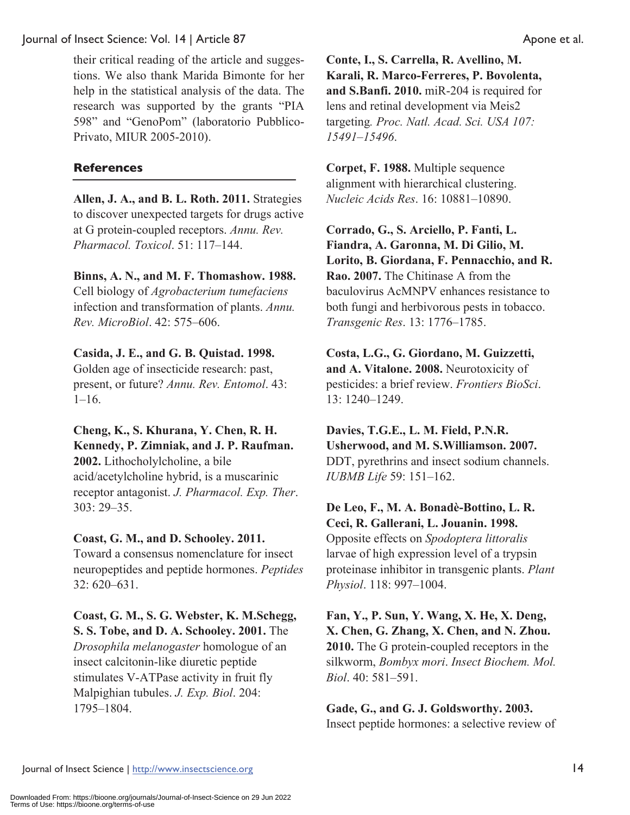their critical reading of the article and suggestions. We also thank Marida Bimonte for her help in the statistical analysis of the data. The research was supported by the grants "PIA 598" and "GenoPom" (laboratorio Pubblico-Privato, MIUR 2005-2010).

#### **References**

**Allen, J. A., and B. L. Roth. 2011.** Strategies to discover unexpected targets for drugs active at G protein-coupled receptors. *Annu. Rev. Pharmacol. Toxicol*. 51: 117‒144.

#### **Binns, A. N., and M. F. Thomashow. 1988.**

Cell biology of *Agrobacterium tumefaciens* infection and transformation of plants. *Annu. Rev. MicroBiol*. 42: 575‒606.

#### **Casida, J. E., and G. B. Quistad. 1998.**

Golden age of insecticide research: past, present, or future? *Annu. Rev. Entomol*. 43:  $1 - 16$ .

## **Cheng, K., S. Khurana, Y. Chen, R. H. Kennedy, P. Zimniak, and J. P. Raufman.**

**2002.** Lithocholylcholine, a bile acid/acetylcholine hybrid, is a muscarinic receptor antagonist. *J. Pharmacol. Exp. Ther*. 303: 29‒35.

#### **Coast, G. M., and D. Schooley. 2011.**

Toward a consensus nomenclature for insect neuropeptides and peptide hormones. *Peptides* 32: 620‒631.

**Coast, G. M., S. G. Webster, K. M.Schegg, S. S. Tobe, and D. A. Schooley. 2001.** The *Drosophila melanogaster* homologue of an insect calcitonin-like diuretic peptide stimulates V-ATPase activity in fruit fly Malpighian tubules. *J. Exp. Biol*. 204: 1795‒1804.

**Conte, I., S. Carrella, R. Avellino, M. Karali, R. Marco-Ferreres, P. Bovolenta, and S.Banfi. 2010.** miR-204 is required for lens and retinal development via Meis2 targeting*. Proc. Natl. Acad. Sci. USA 107: 15491–15496*.

**Corpet, F. 1988.** Multiple sequence alignment with hierarchical clustering. *Nucleic Acids Res*. 16: 10881‒10890.

**Corrado, G., S. Arciello, P. Fanti, L. Fiandra, A. Garonna, M. Di Gilio, M. Lorito, B. Giordana, F. Pennacchio, and R. Rao. 2007.** The Chitinase A from the baculovirus AcMNPV enhances resistance to both fungi and herbivorous pests in tobacco. *Transgenic Res*. 13: 1776‒1785.

**Costa, L.G., G. Giordano, M. Guizzetti, and A. Vitalone. 2008.** Neurotoxicity of pesticides: a brief review. *Frontiers BioSci*. 13: 1240‒1249.

**Davies, T.G.E., L. M. Field, P.N.R. Usherwood, and M. S.Williamson. 2007.** DDT, pyrethrins and insect sodium channels. *IUBMB Life* 59: 151-162.

#### **De Leo, F., M. A. Bonadè-Bottino, L. R. Ceci, R. Gallerani, L. Jouanin. 1998.**

Opposite effects on *Spodoptera littoralis* larvae of high expression level of a trypsin proteinase inhibitor in transgenic plants. *Plant Physiol*. 118: 997‒1004.

**Fan, Y., P. Sun, Y. Wang, X. He, X. Deng, X. Chen, G. Zhang, X. Chen, and N. Zhou. 2010.** The G protein-coupled receptors in the silkworm, *Bombyx mori*. *Insect Biochem. Mol. Biol*. 40: 581‒591.

**Gade, G., and G. J. Goldsworthy. 2003.** Insect peptide hormones: a selective review of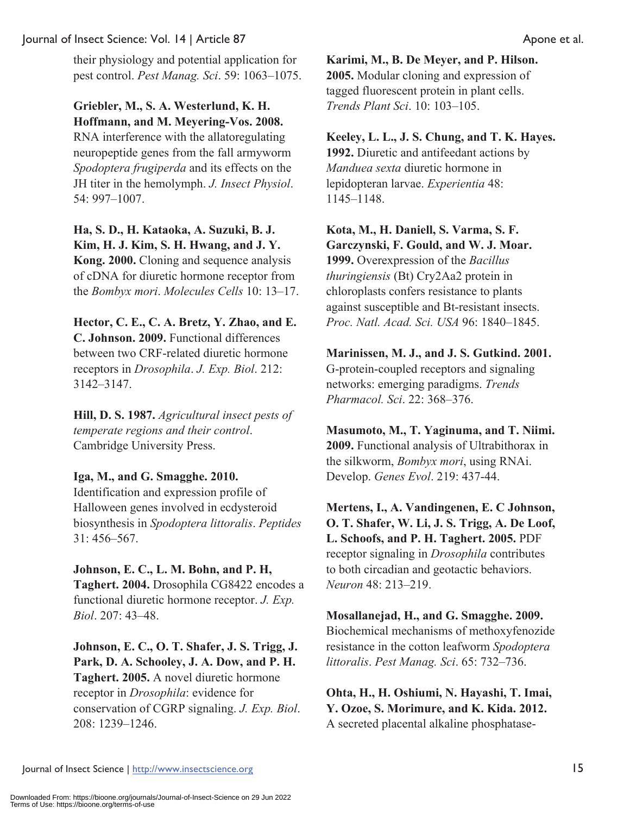their physiology and potential application for pest control. *Pest Manag. Sci.* 59: 1063-1075.

#### **Griebler, M., S. A. Westerlund, K. H. Hoffmann, and M. Meyering-Vos. 2008.**

RNA interference with the allatoregulating neuropeptide genes from the fall armyworm *Spodoptera frugiperda* and its effects on the JH titer in the hemolymph. *J. Insect Physiol*. 54: 997‒1007.

## **Ha, S. D., H. Kataoka, A. Suzuki, B. J.**

**Kim, H. J. Kim, S. H. Hwang, and J. Y. Kong. 2000.** Cloning and sequence analysis of cDNA for diuretic hormone receptor from the *Bombyx mori*. *Molecules Cells* 10: 13‒17.

**Hector, C. E., C. A. Bretz, Y. Zhao, and E. C. Johnson. 2009.** Functional differences between two CRF-related diuretic hormone receptors in *Drosophila*. *J. Exp. Biol*. 212: 3142‒3147.

**Hill, D. S. 1987.** *Agricultural insect pests of temperate regions and their control*. Cambridge University Press.

#### **Iga, M., and G. Smagghe. 2010.**

Identification and expression profile of Halloween genes involved in ecdysteroid biosynthesis in *Spodoptera littoralis*. *Peptides* 31: 456‒567.

**Johnson, E. C., L. M. Bohn, and P. H, Taghert. 2004.** Drosophila CG8422 encodes a functional diuretic hormone receptor. *J. Exp. Biol*. 207: 43‒48.

**Johnson, E. C., O. T. Shafer, J. S. Trigg, J. Park, D. A. Schooley, J. A. Dow, and P. H. Taghert. 2005.** A novel diuretic hormone receptor in *Drosophila*: evidence for conservation of CGRP signaling. *J. Exp. Biol*. 208: 1239‒1246.

**Karimi, M., B. De Meyer, and P. Hilson. 2005.** Modular cloning and expression of tagged fluorescent protein in plant cells. *Trends Plant Sci*. 10: 103‒105.

**Keeley, L. L., J. S. Chung, and T. K. Hayes. 1992.** Diuretic and antifeedant actions by *Manduea sexta* diuretic hormone in lepidopteran larvae. *Experientia* 48: 1145‒1148.

**Kota, M., H. Daniell, S. Varma, S. F. Garczynski, F. Gould, and W. J. Moar. 1999.** Overexpression of the *Bacillus thuringiensis* (Bt) Cry2Aa2 protein in chloroplasts confers resistance to plants against susceptible and Bt-resistant insects. *Proc. Natl. Acad. Sci. USA* 96: 1840‒1845.

**Marinissen, M. J., and J. S. Gutkind. 2001.** G-protein-coupled receptors and signaling networks: emerging paradigms. *Trends Pharmacol. Sci*. 22: 368‒376.

**Masumoto, M., T. Yaginuma, and T. Niimi. 2009.** Functional analysis of Ultrabithorax in the silkworm, *Bombyx mori*, using RNAi. Develop. *Genes Evol*. 219: 437-44.

**Mertens, I., A. Vandingenen, E. C Johnson, O. T. Shafer, W. Li, J. S. Trigg, A. De Loof, L. Schoofs, and P. H. Taghert. 2005.** PDF receptor signaling in *Drosophila* contributes to both circadian and geotactic behaviors. *Neuron* 48: 213-219.

**Mosallanejad, H., and G. Smagghe. 2009.** Biochemical mechanisms of methoxyfenozide resistance in the cotton leafworm *Spodoptera littoralis*. *Pest Manag. Sci*. 65: 732‒736.

**Ohta, H., H. Oshiumi, N. Hayashi, T. Imai, Y. Ozoe, S. Morimure, and K. Kida. 2012.** A secreted placental alkaline phosphatase-